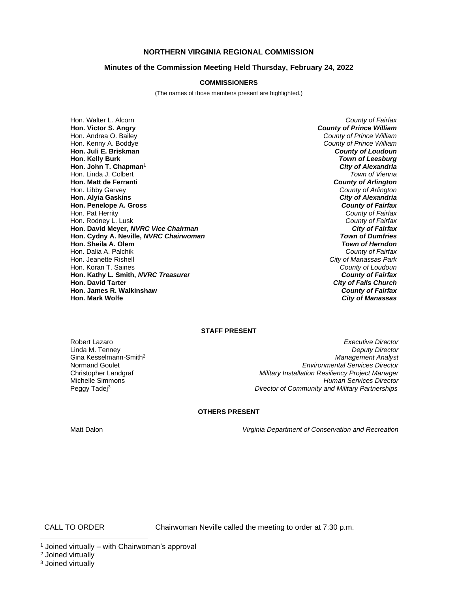## **NORTHERN VIRGINIA REGIONAL COMMISSION**

## **Minutes of the Commission Meeting Held Thursday, February 24, 2022**

## **COMMISSIONERS**

(The names of those members present are highlighted.)

Hon. Walter L. Alcorn *County of Fairfax* **Hon. Victor S. Angry** *County of Prince William* Hon. Andrea O. Bailey *County of Prince William* Hon. Kenny A. Boddye *County of Prince William* **Hon. Juli E. Briskman** *County of Loudoun* **Hon. John T. Chapman<sup>1</sup>** *City of Alexandria* Hon. Linda J. Colbert *Town of Vienna* **Hon. Matt de Ferranti Hon. Libby Garvey Hon. Alyia Gaskins** *City of Alexandria* **Hon. Penelope A. Gross** Hon. Pat Herrity *County of Fairfax* Hon. Rodney L. Lusk *County of Fairfax* **Hon. David Meyer,** *NVRC Vice Chairman City of Fairfax* **Hon. Cydny A. Neville,** *NVRC Chairwoman Town of Dumfries* **Hon. Sheila A. Olem** *Town of Herndon* Hon. Dalia A. Palchik<br>*Hon. Jeanette Rishell* Hon. Koran T. Saines *County of Loudoun* **Hon. Kathy L. Smith,** *NVRC Treasurer*<br>**Hon. David Tarter Hon. James R. Walkinshaw** *County of Fairfax* **Hon. Mark Wolfe** *City of Manassas*

**Town of Leesburg<br>City of Alexandria County of Arlington**<br>**City of Alexandria City of Manassas Park**<br>County of Loudoun **City of Falls Church** 

#### **STAFF PRESENT**

Peggy Tadej<sup>3</sup>

Robert Lazaro *Executive Director* Linda M. Tenney *Deputy Director* Gina Kesselmann-Smith<sup>2</sup> *Management Analyst* Normand Goulet *Environmental Services Director* **Military Installation Resiliency Project Manager** Michelle Simmons *Human Services Director Director of Community and Military Partnerships*

## **OTHERS PRESENT**

Matt Dalon *Virginia Department of Conservation and Recreation*

CALL TO ORDER Chairwoman Neville called the meeting to order at 7:30 p.m.

 $1$  Joined virtually – with Chairwoman's approval

<sup>2</sup> Joined virtually

<sup>&</sup>lt;sup>3</sup> Joined virtually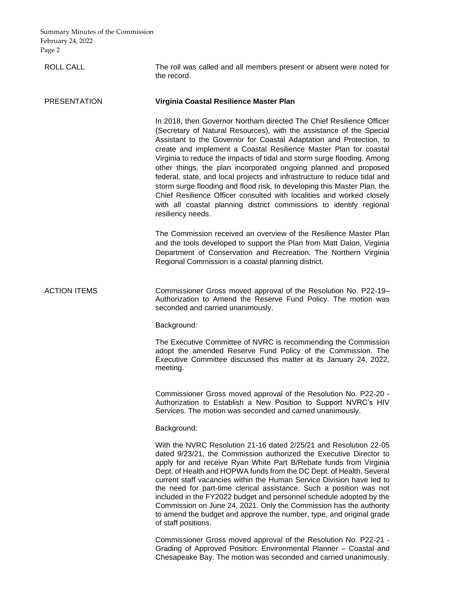ROLL CALL The roll was called and all members present or absent were noted for the record.

# PRESENTATION **Virginia Coastal Resilience Master Plan**

In 2018, then Governor Northam directed The Chief Resilience Officer (Secretary of Natural Resources), with the assistance of the Special Assistant to the Governor for Coastal Adaptation and Protection, to create and implement a Coastal Resilience Master Plan for coastal Virginia to reduce the impacts of tidal and storm surge flooding. Among other things, the plan incorporated ongoing planned and proposed federal, state, and local projects and infrastructure to reduce tidal and storm surge flooding and flood risk. In developing this Master Plan, the Chief Resilience Officer consulted with localities and worked closely with all coastal planning district commissions to identify regional resiliency needs.

The Commission received an overview of the Resilience Master Plan and the tools developed to support the Plan from Matt Dalon, Virginia Department of Conservation and Recreation. The Northern Virginia Regional Commission is a coastal planning district.

ACTION ITEMS Commissioner Gross moved approval of the Resolution No. P22-19– Authorization to Amend the Reserve Fund Policy. The motion was seconded and carried unanimously.

Background:

The Executive Committee of NVRC is recommending the Commission adopt the amended Reserve Fund Policy of the Commission. The Executive Committee discussed this matter at its January 24, 2022, meeting.

Commissioner Gross moved approval of the Resolution No. P22-20 - Authorization to Establish a New Position to Support NVRC's HIV Services. The motion was seconded and carried unanimously.

Background:

With the NVRC Resolution 21-16 dated 2/25/21 and Resolution 22-05 dated 9/23/21, the Commission authorized the Executive Director to apply for and receive Ryan White Part B/Rebate funds from Virginia Dept. of Health and HOPWA funds from the DC Dept. of Health. Several current staff vacancies within the Human Service Division have led to the need for part-time clerical assistance. Such a position was not included in the FY2022 budget and personnel schedule adopted by the Commission on June 24, 2021. Only the Commission has the authority to amend the budget and approve the number, type, and original grade of staff positions.

Commissioner Gross moved approval of the Resolution No. P22-21 - Grading of Approved Position: Environmental Planner – Coastal and Chesapeake Bay. The motion was seconded and carried unanimously.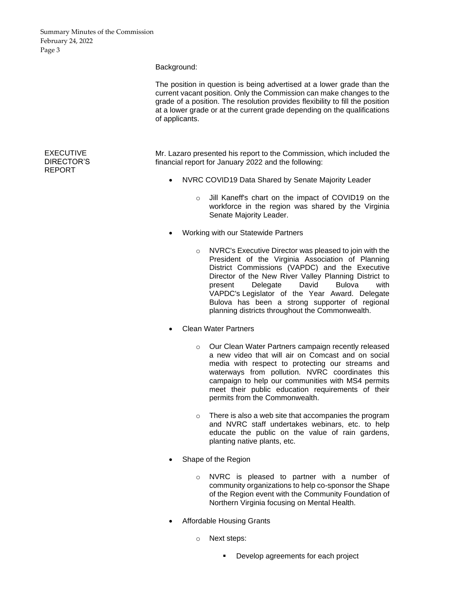#### Background:

The position in question is being advertised at a lower grade than the current vacant position. Only the Commission can make changes to the grade of a position. The resolution provides flexibility to fill the position at a lower grade or at the current grade depending on the qualifications of applicants.

Mr. Lazaro presented his report to the Commission, which included the financial report for January 2022 and the following:

- NVRC COVID19 Data Shared by Senate Majority Leader
	- o Jill Kaneff's chart on the impact of COVID19 on the workforce in the region was shared by the Virginia Senate Majority Leader.
- Working with our Statewide Partners
	- o NVRC's Executive Director was pleased to join with the President of the Virginia Association of Planning District Commissions (VAPDC) and the Executive Director of the New River Valley Planning District to present Delegate David Bulova with VAPDC's Legislator of the Year Award. Delegate Bulova has been a strong supporter of regional planning districts throughout the Commonwealth.
- Clean Water Partners
	- o Our Clean Water Partners campaign recently released a new video that will air on Comcast and on social media with respect to protecting our streams and waterways from pollution. NVRC coordinates this campaign to help our communities with MS4 permits meet their public education requirements of their permits from the Commonwealth.
	- o There is also a web site that accompanies the program and NVRC staff undertakes webinars, etc. to help educate the public on the value of rain gardens, planting native plants, etc.
- Shape of the Region
	- o NVRC is pleased to partner with a number of community organizations to help co-sponsor the Shape of the Region event with the Community Foundation of Northern Virginia focusing on Mental Health.
- Affordable Housing Grants
	- o Next steps:
		- Develop agreements for each project

# EXECUTIVE DIRECTOR'S REPORT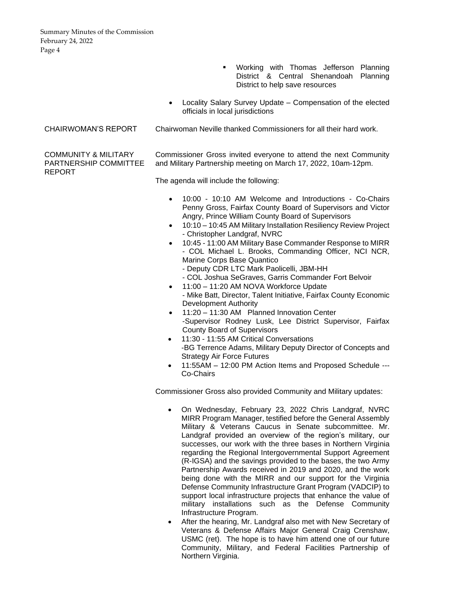- Working with Thomas Jefferson Planning District & Central Shenandoah Planning District to help save resources
- Locality Salary Survey Update Compensation of the elected officials in local jurisdictions

# CHAIRWOMAN'S REPORT Chairwoman Neville thanked Commissioners for all their hard work.

Commissioner Gross invited everyone to attend the next Community and Military Partnership meeting on March 17, 2022, 10am-12pm.

The agenda will include the following:

- 10:00 10:10 AM Welcome and Introductions Co-Chairs Penny Gross, Fairfax County Board of Supervisors and Victor Angry, Prince William County Board of Supervisors
- 10:10 10:45 AM Military Installation Resiliency Review Project - Christopher Landgraf, NVRC
- 10:45 11:00 AM Military Base Commander Response to MIRR - COL Michael L. Brooks, Commanding Officer, NCI NCR, Marine Corps Base Quantico
	- Deputy CDR LTC Mark Paolicelli, JBM-HH
	- COL Joshua SeGraves, Garris Commander Fort Belvoir
- 11:00 11:20 AM NOVA Workforce Update - Mike Batt, Director, Talent Initiative, Fairfax County Economic Development Authority
- 11:20 11:30 AM Planned Innovation Center -Supervisor Rodney Lusk, Lee District Supervisor, Fairfax County Board of Supervisors
- 11:30 11:55 AM Critical Conversations -BG Terrence Adams, Military Deputy Director of Concepts and Strategy Air Force Futures
- 11:55AM 12:00 PM Action Items and Proposed Schedule --- Co-Chairs

Commissioner Gross also provided Community and Military updates:

- On Wednesday, February 23, 2022 Chris Landgraf, NVRC MIRR Program Manager, testified before the General Assembly Military & Veterans Caucus in Senate subcommittee. Mr. Landgraf provided an overview of the region's military, our successes, our work with the three bases in Northern Virginia regarding the Regional Intergovernmental Support Agreement (R-IGSA) and the savings provided to the bases, the two Army Partnership Awards received in 2019 and 2020, and the work being done with the MIRR and our support for the Virginia Defense Community Infrastructure Grant Program (VADCIP) to support local infrastructure projects that enhance the value of military installations such as the Defense Community Infrastructure Program.
- After the hearing, Mr. Landgraf also met with New Secretary of Veterans & Defense Affairs Major General Craig Crenshaw, USMC (ret). The hope is to have him attend one of our future Community, Military, and Federal Facilities Partnership of Northern Virginia.

COMMUNITY & MILITARY PARTNERSHIP COMMITTEE REPORT